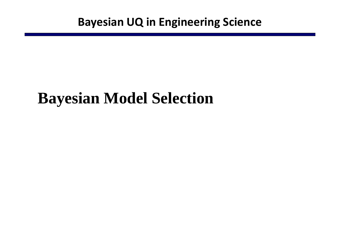# **Bayesian Model Selection**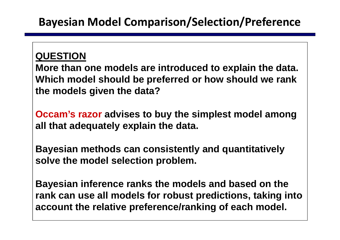#### **QUESTION**

**More than one models are introduced to explain the data. Which model should be preferred or how should we rank the models given the data?** 

**Occam's razor advises to buy the simplest model among all that adequately explain the data.**

**Bayesian methods can consistently and quantitatively solve the model selection problem.** 

**Bayesian inference ranks the models and based on the rank can use all models for robust predictions, taking into account the relative preference/ranking of each model.**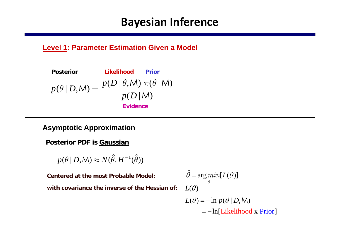# **Bayesian Inference**

#### **Level 1: Parameter Estimation Given a Model**

$$
\begin{array}{ll}\text{Posterior} & \text{Likelihood} & \text{Prior} \\[1mm] p(\theta \,|\, D, \mathsf{M}) = \displaystyle\frac{p(D \,|\, \theta, \mathsf{M}) \; \pi(\theta \,|\, \mathsf{M})}{p(D \,|\, \mathsf{M})} \\[1mm] & \text{Evidence}\end{array}
$$

#### **Asymptotic Approximation**

**Posterior PDF is Gaussian**

 $p(\theta \, | \, D, \mathsf{M}) \approx N(\hat{\theta}, H^{-1}(\hat{\theta}))$ 

**Centered at the most Probable Model:with covariance the inverse of the Hessian of:**

$$
\hat{\theta} = \arg\min_{\theta} [L(\theta)]
$$
  
ssian of:  $L(\theta)$   

$$
L(\theta) = -\ln p(\theta | D, M)
$$

 $\lambda = -\ln[\text{Likelihood x Prior}]$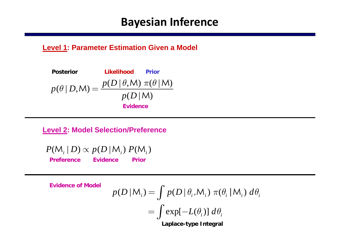# **Bayesian Inference**

#### **Level 1: Parameter Estimation Given a Model**

$$
\text{Posterior} \qquad \text{Likelihood} \qquad \text{Prior} \\ p(\theta | D, \mathsf{M}) = \frac{p(D | \theta, \mathsf{M}) \ \pi(\theta | \mathsf{M})}{p(D | \mathsf{M})} \\ \text{Evidence}
$$

**Level 2: Model Selection/Preference**

 $P(M_i | D) \propto p(D | M_i) P(M_i)$ **PreferenceEvidence Prior**

**Evidence of Model**

$$
p(D \mid M_i) = \int p(D \mid \theta_i, M_i) \pi(\theta_i \mid M_i) d\theta_i
$$

$$
= \int \exp[-L(\theta_i)] d\theta_i
$$
Laplace-type Integral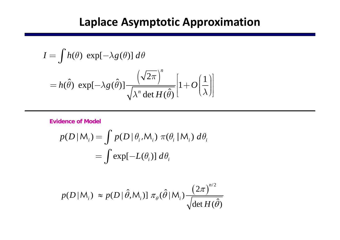# **Laplace Asymptotic Approximation**

$$
I = \int h(\theta) \exp[-\lambda g(\theta)] d\theta
$$
  
=  $h(\hat{\theta}) \exp[-\lambda g(\hat{\theta})] \frac{\left(\sqrt{2\pi}\right)^n}{\sqrt{\lambda^n \det H(\hat{\theta})}} \left[1 + O\left(\frac{1}{\lambda}\right)\right]$ 

**Evidence of Model**

$$
p(D|M_i) = \int p(D|\theta_i, M_i) \pi(\theta_i | M_i) d\theta_i
$$
  
= 
$$
\int \exp[-L(\theta_i)] d\theta_i
$$

$$
p(D|M_i) \approx p(D|\hat{\theta}, M_i) \ln \pi_{\theta}(\hat{\theta}|M_i) \frac{(2\pi)^{n/2}}{\sqrt{\det H(\hat{\theta})}}
$$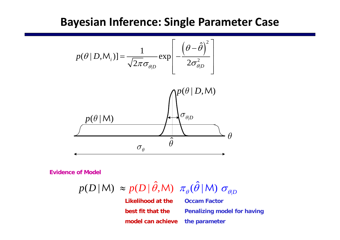#### **Bayesian Inference: Single Parameter Case**



**Evidence of Model**

| ˆ $(D \,|\, \hat{\theta}, \mathsf{M})$   $\pi_{_{\boldsymbol{\theta}}}(\hat{\theta})$  $p(D | M) \approx p(D | \theta, M) \pi_{\theta}(\theta | M) \sigma_{\theta|D}$ 

**Likelihood at the best fit that the model can achieve the parameterOccam Factor Penalizing model for having**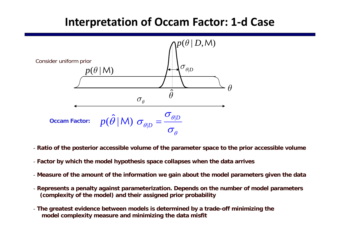# **Interpretation of Occam Factor: 1‐d Case**



- **Ratio of the posterior accessible volume of the parameter space to the prior accessible volume**
- **Factor by which the model hypothesis space collapses when the data arrives**
- **Measure of the amount of the information we gain about the model parameters given the data**
- **Represents a penalty against parameterization. Depends on the number of model parameters (complexity of the model) and their assigned prior probability**
- **The greatest evidence between models is determined by a trade-off minimizing the model complexity measure and minimizing the data misfit**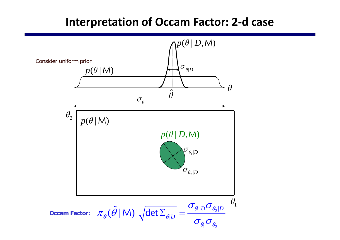# **Interpretation of Occam Factor: 2‐d case**

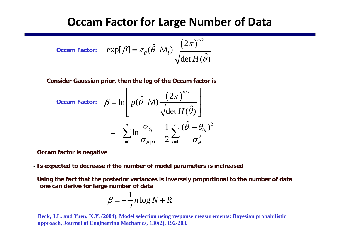### **Occam Factor for Large Number of Data**

**Occam Factor:** 
$$
\exp[\beta] = \pi_{\theta}(\hat{\theta} | M_i) \frac{(2\pi)^{n/2}}{\sqrt{\det H(\hat{\theta})}}
$$

**Consider Gaussian prior, then the log of the Occam factor is**

Occam Factor: 
$$
\beta = \ln \left[ p(\hat{\theta} | M) \frac{\left(2\pi\right)^{n/2}}{\sqrt{\det H(\hat{\theta})}} \right]
$$

\n
$$
= -\sum_{i=1}^{n} \ln \frac{\sigma_{\theta_i}}{\sigma_{\theta_i|D}} - \frac{1}{2} \sum_{i=1}^{n} \frac{(\hat{\theta}_i - \theta_{0i})^2}{\sigma_{\theta_i}^2}
$$

- **Occam factor is negative**
- **Is expected to decrease if the number of model parameters is inclreased**
- **Using the fact that the posterior variances is inversely proportional to the number of data one can derive for large number of data**

$$
\beta = -\frac{1}{2}n\log N + R
$$

**Beck, J.L. and Yuen, K.Y. (2004), Model selection using response measurements: Bayesian probabilistic approach, Journal of Engineering Mechanics, 130(2), 192-203.**